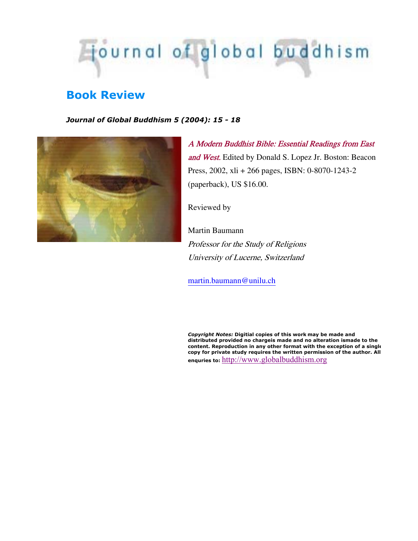

## **Book Review**

*Journal of Global Buddhism 5 (2004): 15 - 18*



A Modern Buddhist Bible: Essential Readings from East and West. Edited by Donald S. Lopez Jr. Boston: Beacon Press, 2002, xli + 266 pages, ISBN: 0-8070-1243-2 (paperback), US \$16.00.

Reviewed by

Martin Baumann Professor for the Study of Religions University of Lucerne, Switzerland

martin.baumann@unilu.ch

*Copyright Notes:* **Digitial copies of this work may be made and distributed provided no chargeis made and no alteration ismade to the content. Reproduction in any other format with the exception of a single copy for private study requires the written permission of the author. All enquries to:** http://www.globalbuddhism.org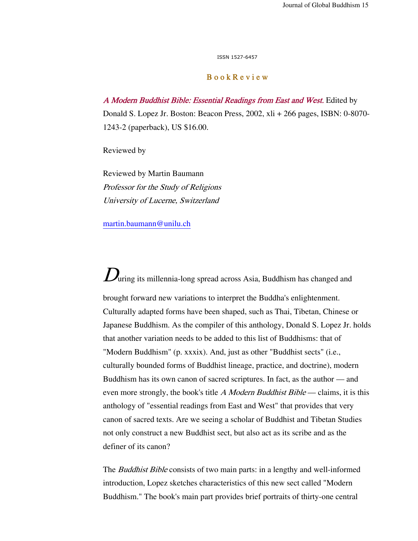ISSN 1527-6457

## B o o k R e v i e w

A Modern Buddhist Bible: Essential Readings from East and West. Edited by Donald S. Lopez Jr. Boston: Beacon Press, 2002, xli + 266 pages, ISBN: 0-8070- 1243-2 (paperback), US \$16.00.

Reviewed by

Reviewed by Martin Baumann Professor for the Study of Religions University of Lucerne, Switzerland

martin.baumann@unilu.ch

 $D_{\text{uring its millennia-long spread across Asia, Buddha has changed and}$ brought forward new variations to interpret the Buddha's enlightenment. Culturally adapted forms have been shaped, such as Thai, Tibetan, Chinese or Japanese Buddhism. As the compiler of this anthology, Donald S. Lopez Jr. holds that another variation needs to be added to this list of Buddhisms: that of "Modern Buddhism" (p. xxxix). And, just as other "Buddhist sects" (i.e., culturally bounded forms of Buddhist lineage, practice, and doctrine), modern Buddhism has its own canon of sacred scriptures. In fact, as the author — and even more strongly, the book's title A Modern Buddhist Bible — claims, it is this anthology of "essential readings from East and West" that provides that very canon of sacred texts. Are we seeing a scholar of Buddhist and Tibetan Studies not only construct a new Buddhist sect, but also act as its scribe and as the definer of its canon?

The *Buddhist Bible* consists of two main parts: in a lengthy and well-informed introduction, Lopez sketches characteristics of this new sect called "Modern Buddhism." The book's main part provides brief portraits of thirty-one central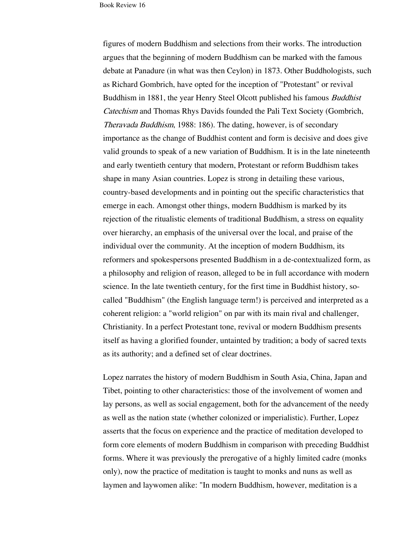figures of modern Buddhism and selections from their works. The introduction argues that the beginning of modern Buddhism can be marked with the famous debate at Panadure (in what was then Ceylon) in 1873. Other Buddhologists, such as Richard Gombrich, have opted for the inception of "Protestant" or revival Buddhism in 1881, the year Henry Steel Olcott published his famous *Buddhist* Catechism and Thomas Rhys Davids founded the Pali Text Society (Gombrich, Theravada Buddhism, 1988: 186). The dating, however, is of secondary importance as the change of Buddhist content and form is decisive and does give valid grounds to speak of a new variation of Buddhism. It is in the late nineteenth and early twentieth century that modern, Protestant or reform Buddhism takes shape in many Asian countries. Lopez is strong in detailing these various, country-based developments and in pointing out the specific characteristics that emerge in each. Amongst other things, modern Buddhism is marked by its rejection of the ritualistic elements of traditional Buddhism, a stress on equality over hierarchy, an emphasis of the universal over the local, and praise of the individual over the community. At the inception of modern Buddhism, its reformers and spokespersons presented Buddhism in a de-contextualized form, as a philosophy and religion of reason, alleged to be in full accordance with modern science. In the late twentieth century, for the first time in Buddhist history, socalled "Buddhism" (the English language term!) is perceived and interpreted as a coherent religion: a "world religion" on par with its main rival and challenger, Christianity. In a perfect Protestant tone, revival or modern Buddhism presents itself as having a glorified founder, untainted by tradition; a body of sacred texts as its authority; and a defined set of clear doctrines.

Lopez narrates the history of modern Buddhism in South Asia, China, Japan and Tibet, pointing to other characteristics: those of the involvement of women and lay persons, as well as social engagement, both for the advancement of the needy as well as the nation state (whether colonized or imperialistic). Further, Lopez asserts that the focus on experience and the practice of meditation developed to form core elements of modern Buddhism in comparison with preceding Buddhist forms. Where it was previously the prerogative of a highly limited cadre (monks only), now the practice of meditation is taught to monks and nuns as well as laymen and laywomen alike: "In modern Buddhism, however, meditation is a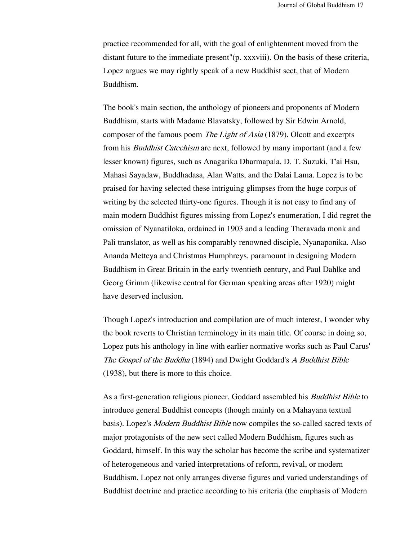practice recommended for all, with the goal of enlightenment moved from the distant future to the immediate present"(p. xxxviii). On the basis of these criteria, Lopez argues we may rightly speak of a new Buddhist sect, that of Modern Buddhism.

The book's main section, the anthology of pioneers and proponents of Modern Buddhism, starts with Madame Blavatsky, followed by Sir Edwin Arnold, composer of the famous poem *The Light of Asia* (1879). Olcott and excerpts from his *Buddhist Catechism* are next, followed by many important (and a few lesser known) figures, such as Anagarika Dharmapala, D. T. Suzuki, T'ai Hsu, Mahasi Sayadaw, Buddhadasa, Alan Watts, and the Dalai Lama. Lopez is to be praised for having selected these intriguing glimpses from the huge corpus of writing by the selected thirty-one figures. Though it is not easy to find any of main modern Buddhist figures missing from Lopez's enumeration, I did regret the omission of Nyanatiloka, ordained in 1903 and a leading Theravada monk and Pali translator, as well as his comparably renowned disciple, Nyanaponika. Also Ananda Metteya and Christmas Humphreys, paramount in designing Modern Buddhism in Great Britain in the early twentieth century, and Paul Dahlke and Georg Grimm (likewise central for German speaking areas after 1920) might have deserved inclusion.

Though Lopez's introduction and compilation are of much interest, I wonder why the book reverts to Christian terminology in its main title. Of course in doing so, Lopez puts his anthology in line with earlier normative works such as Paul Carus' The Gospel of the Buddha (1894) and Dwight Goddard's A Buddhist Bible (1938), but there is more to this choice.

As a first-generation religious pioneer, Goddard assembled his Buddhist Bible to introduce general Buddhist concepts (though mainly on a Mahayana textual basis). Lopez's *Modern Buddhist Bible* now compiles the so-called sacred texts of major protagonists of the new sect called Modern Buddhism, figures such as Goddard, himself. In this way the scholar has become the scribe and systematizer of heterogeneous and varied interpretations of reform, revival, or modern Buddhism. Lopez not only arranges diverse figures and varied understandings of Buddhist doctrine and practice according to his criteria (the emphasis of Modern